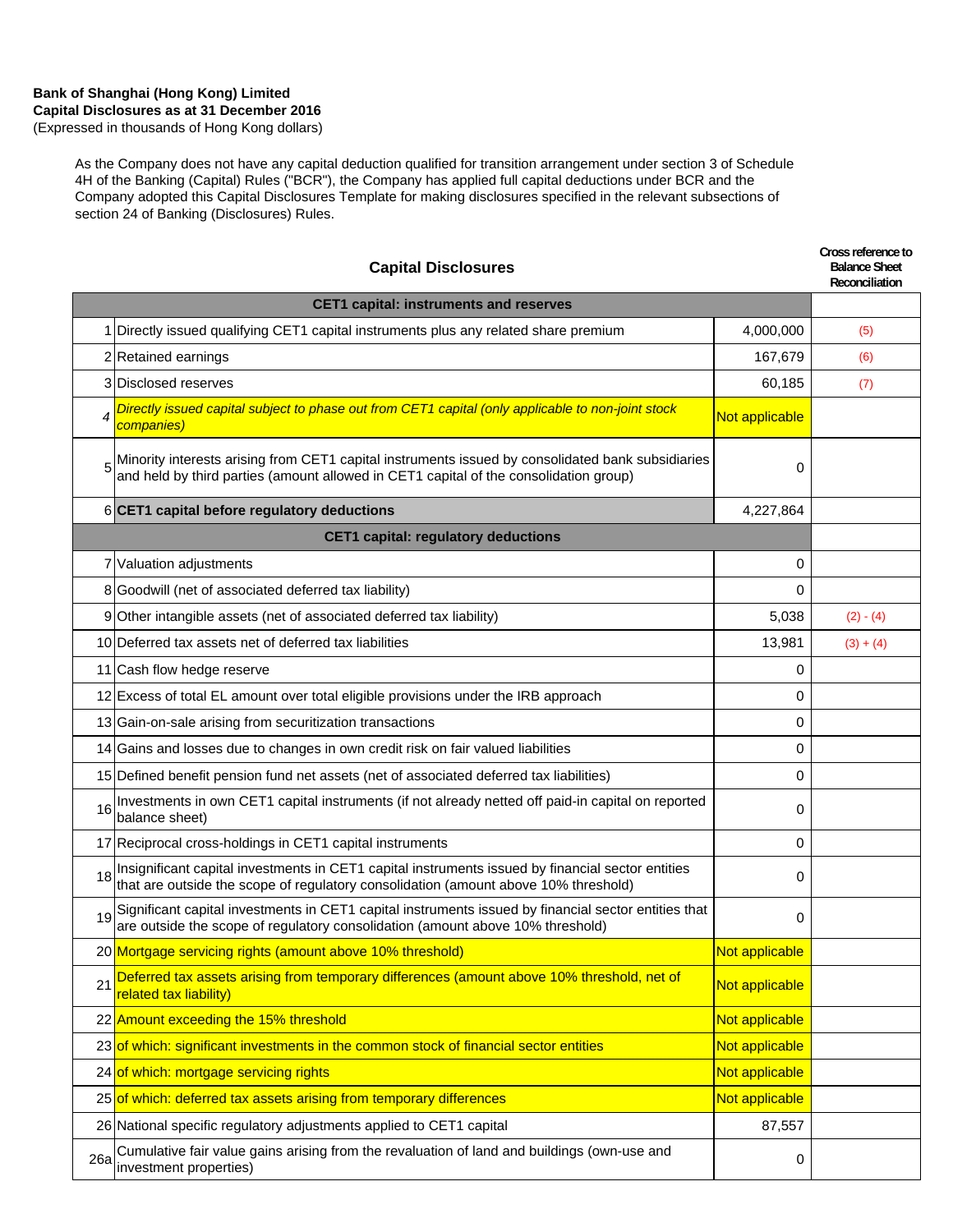### **Bank of Shanghai (Hong Kong) Limited Capital Disclosures as at 31 December 2016** (Expressed in thousands of Hong Kong dollars)

As the Company does not have any capital deduction qualified for transition arrangement under section 3 of Schedule 4H of the Banking (Capital) Rules ("BCR"), the Company has applied full capital deductions under BCR and the Company adopted this Capital Disclosures Template for making disclosures specified in the relevant subsections of section 24 of Banking (Disclosures) Rules.

| <b>Capital Disclosures</b> |                                                                                                                                                                                            |                | Cross reference to<br><b>Balance Sheet</b><br>Reconciliation |
|----------------------------|--------------------------------------------------------------------------------------------------------------------------------------------------------------------------------------------|----------------|--------------------------------------------------------------|
|                            | <b>CET1 capital: instruments and reserves</b>                                                                                                                                              |                |                                                              |
|                            | 1 Directly issued qualifying CET1 capital instruments plus any related share premium                                                                                                       | 4,000,000      | (5)                                                          |
|                            | 2 Retained earnings                                                                                                                                                                        | 167,679        | (6)                                                          |
|                            | 3 Disclosed reserves                                                                                                                                                                       | 60,185         | (7)                                                          |
|                            | Directly issued capital subject to phase out from CET1 capital (only applicable to non-joint stock<br>companies)                                                                           | Not applicable |                                                              |
|                            | Minority interests arising from CET1 capital instruments issued by consolidated bank subsidiaries<br>and held by third parties (amount allowed in CET1 capital of the consolidation group) | 0              |                                                              |
|                            | 6 CET1 capital before regulatory deductions                                                                                                                                                | 4,227,864      |                                                              |
|                            | <b>CET1 capital: regulatory deductions</b>                                                                                                                                                 |                |                                                              |
|                            | 7 Valuation adjustments                                                                                                                                                                    | 0              |                                                              |
|                            | 8 Goodwill (net of associated deferred tax liability)                                                                                                                                      | 0              |                                                              |
|                            | 9 Other intangible assets (net of associated deferred tax liability)                                                                                                                       | 5,038          | $(2) - (4)$                                                  |
|                            | 10 Deferred tax assets net of deferred tax liabilities                                                                                                                                     | 13,981         | $(3) + (4)$                                                  |
|                            | 11 Cash flow hedge reserve                                                                                                                                                                 | 0              |                                                              |
|                            | 12 Excess of total EL amount over total eligible provisions under the IRB approach                                                                                                         | 0              |                                                              |
|                            | 13 Gain-on-sale arising from securitization transactions                                                                                                                                   | 0              |                                                              |
|                            | 14 Gains and losses due to changes in own credit risk on fair valued liabilities                                                                                                           | 0              |                                                              |
|                            | 15 Defined benefit pension fund net assets (net of associated deferred tax liabilities)                                                                                                    | 0              |                                                              |
| 16                         | Investments in own CET1 capital instruments (if not already netted off paid-in capital on reported<br>balance sheet)                                                                       | 0              |                                                              |
|                            | 17 Reciprocal cross-holdings in CET1 capital instruments                                                                                                                                   | 0              |                                                              |
| 18                         | Insignificant capital investments in CET1 capital instruments issued by financial sector entities<br>that are outside the scope of regulatory consolidation (amount above 10% threshold)   | 0              |                                                              |
| 19                         | Significant capital investments in CET1 capital instruments issued by financial sector entities that are outside the scope of regulatory consolidation (amount above 10% threshold)        | 0              |                                                              |
|                            | 20 Mortgage servicing rights (amount above 10% threshold)                                                                                                                                  | Not applicable |                                                              |
| 21                         | Deferred tax assets arising from temporary differences (amount above 10% threshold, net of<br>related tax liability)                                                                       | Not applicable |                                                              |
|                            | 22 Amount exceeding the 15% threshold                                                                                                                                                      | Not applicable |                                                              |
|                            | 23 of which: significant investments in the common stock of financial sector entities                                                                                                      | Not applicable |                                                              |
|                            | 24 of which: mortgage servicing rights                                                                                                                                                     | Not applicable |                                                              |
|                            | 25 of which: deferred tax assets arising from temporary differences                                                                                                                        | Not applicable |                                                              |
|                            | 26 National specific regulatory adjustments applied to CET1 capital                                                                                                                        | 87,557         |                                                              |
| 26a                        | Cumulative fair value gains arising from the revaluation of land and buildings (own-use and<br>investment properties)                                                                      | 0              |                                                              |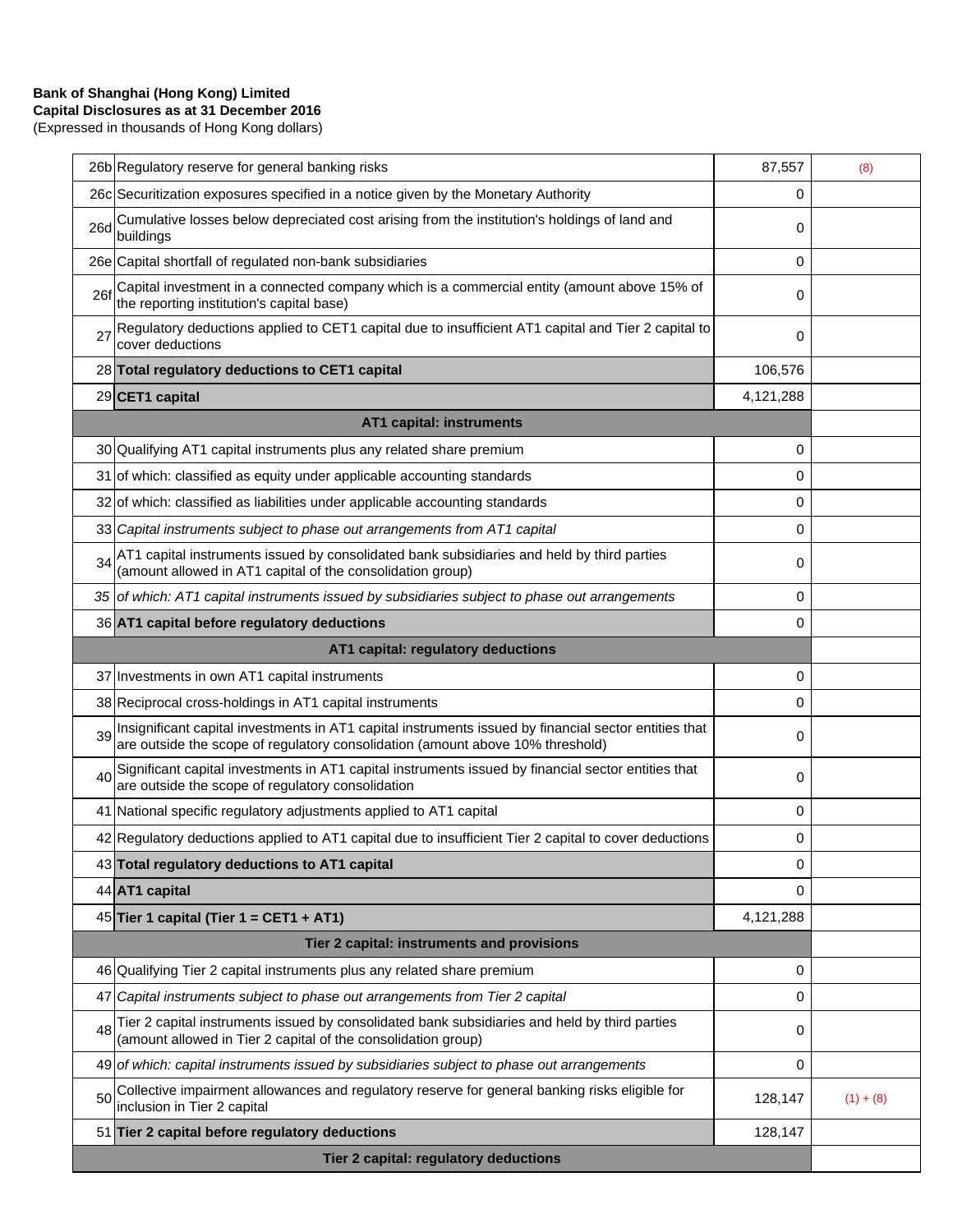## **Bank of Shanghai (Hong Kong) Limited**

**Capital Disclosures as at 31 December 2016**

(Expressed in thousands of Hong Kong dollars)

| 26b Regulatory reserve for general banking risks                                                                                                                                              | 87,557    | (8)         |
|-----------------------------------------------------------------------------------------------------------------------------------------------------------------------------------------------|-----------|-------------|
| 26c Securitization exposures specified in a notice given by the Monetary Authority                                                                                                            | 0         |             |
| Cumulative losses below depreciated cost arising from the institution's holdings of land and<br>26d<br>buildings                                                                              | 0         |             |
| 26e Capital shortfall of regulated non-bank subsidiaries                                                                                                                                      | 0         |             |
| Capital investment in a connected company which is a commercial entity (amount above 15% of<br>26f<br>the reporting institution's capital base)                                               | 0         |             |
| Regulatory deductions applied to CET1 capital due to insufficient AT1 capital and Tier 2 capital to<br>27<br>cover deductions                                                                 | 0         |             |
| 28 Total regulatory deductions to CET1 capital                                                                                                                                                | 106,576   |             |
| 29 CET1 capital                                                                                                                                                                               | 4,121,288 |             |
| <b>AT1 capital: instruments</b>                                                                                                                                                               |           |             |
| 30 Qualifying AT1 capital instruments plus any related share premium                                                                                                                          | 0         |             |
| 31 of which: classified as equity under applicable accounting standards                                                                                                                       | 0         |             |
| 32 of which: classified as liabilities under applicable accounting standards                                                                                                                  | 0         |             |
| 33 Capital instruments subject to phase out arrangements from AT1 capital                                                                                                                     | 0         |             |
| AT1 capital instruments issued by consolidated bank subsidiaries and held by third parties<br>34<br>(amount allowed in AT1 capital of the consolidation group)                                | 0         |             |
| 35 of which: AT1 capital instruments issued by subsidiaries subject to phase out arrangements                                                                                                 | 0         |             |
| 36 AT1 capital before regulatory deductions                                                                                                                                                   | 0         |             |
| AT1 capital: regulatory deductions                                                                                                                                                            |           |             |
| 37 Investments in own AT1 capital instruments                                                                                                                                                 | 0         |             |
| 38 Reciprocal cross-holdings in AT1 capital instruments                                                                                                                                       | 0         |             |
| Insignificant capital investments in AT1 capital instruments issued by financial sector entities that<br>39<br>are outside the scope of regulatory consolidation (amount above 10% threshold) | 0         |             |
| Significant capital investments in AT1 capital instruments issued by financial sector entities that<br>40<br>are outside the scope of regulatory consolidation                                | 0         |             |
| 41 National specific regulatory adjustments applied to AT1 capital                                                                                                                            | 0         |             |
| 42 Regulatory deductions applied to AT1 capital due to insufficient Tier 2 capital to cover deductions                                                                                        | 0         |             |
| 43 Total regulatory deductions to AT1 capital                                                                                                                                                 | 0         |             |
| 44 AT1 capital                                                                                                                                                                                | 0         |             |
| 45 Tier 1 capital (Tier 1 = CET1 + AT1)                                                                                                                                                       | 4,121,288 |             |
| Tier 2 capital: instruments and provisions                                                                                                                                                    |           |             |
| 46 Qualifying Tier 2 capital instruments plus any related share premium                                                                                                                       | 0         |             |
| Capital instruments subject to phase out arrangements from Tier 2 capital<br>47                                                                                                               | 0         |             |
| Tier 2 capital instruments issued by consolidated bank subsidiaries and held by third parties<br>48<br>(amount allowed in Tier 2 capital of the consolidation group)                          | 0         |             |
| 49 of which: capital instruments issued by subsidiaries subject to phase out arrangements                                                                                                     | 0         |             |
| Collective impairment allowances and regulatory reserve for general banking risks eligible for<br>50<br>inclusion in Tier 2 capital                                                           | 128,147   | $(1) + (8)$ |
| 51 Tier 2 capital before regulatory deductions                                                                                                                                                | 128,147   |             |
| Tier 2 capital: regulatory deductions                                                                                                                                                         |           |             |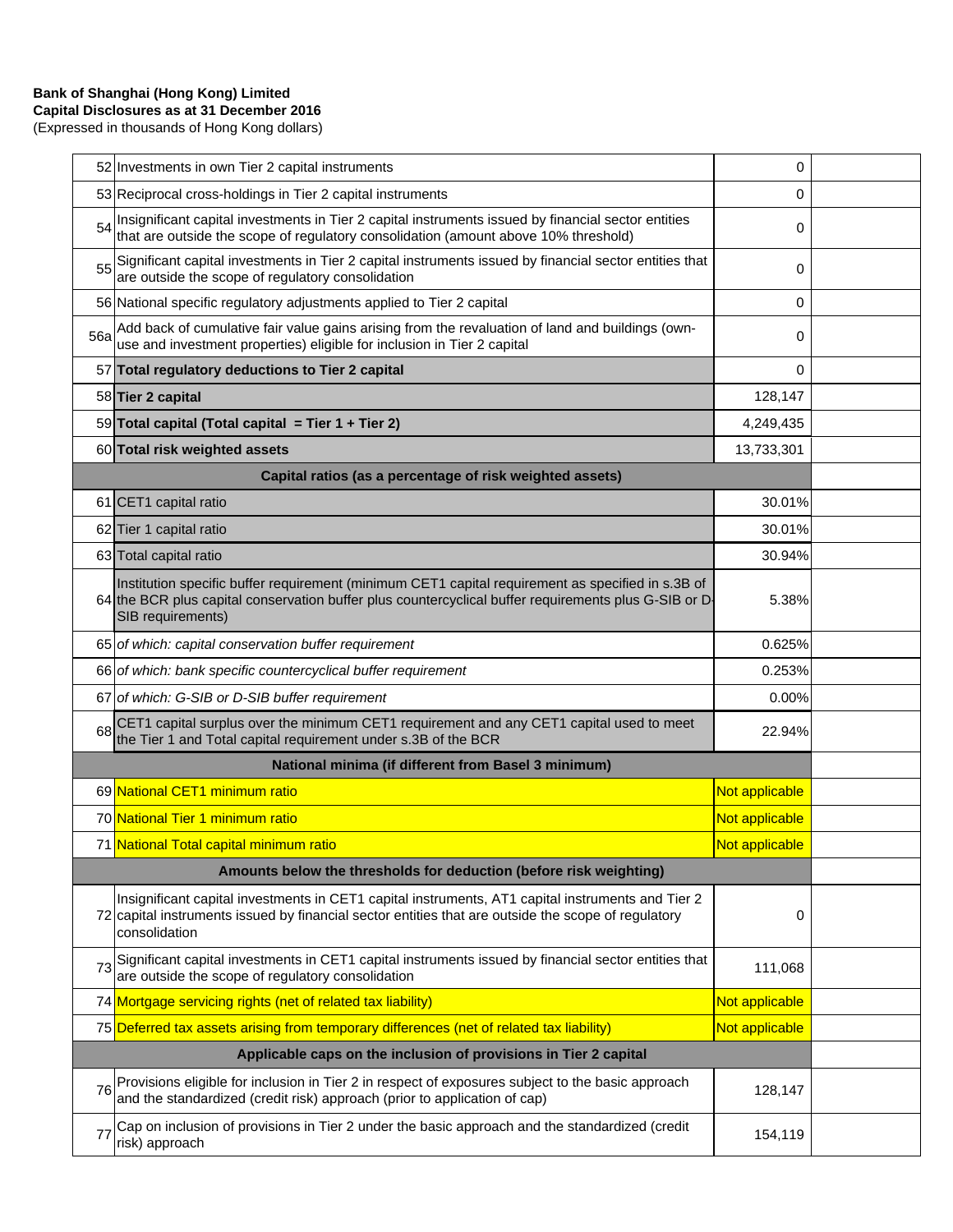# **Bank of Shanghai (Hong Kong) Limited**

**Capital Disclosures as at 31 December 2016** (Expressed in thousands of Hong Kong dollars)

|                                                                    | 52 Investments in own Tier 2 capital instruments                                                                                                                                                                               | 0              |  |
|--------------------------------------------------------------------|--------------------------------------------------------------------------------------------------------------------------------------------------------------------------------------------------------------------------------|----------------|--|
|                                                                    | 53 Reciprocal cross-holdings in Tier 2 capital instruments                                                                                                                                                                     | 0              |  |
| 54                                                                 | Insignificant capital investments in Tier 2 capital instruments issued by financial sector entities<br>that are outside the scope of regulatory consolidation (amount above 10% threshold)                                     | 0              |  |
| 55                                                                 | Significant capital investments in Tier 2 capital instruments issued by financial sector entities that<br>are outside the scope of regulatory consolidation                                                                    | 0              |  |
|                                                                    | 56 National specific regulatory adjustments applied to Tier 2 capital                                                                                                                                                          | $\mathbf 0$    |  |
| 56a                                                                | Add back of cumulative fair value gains arising from the revaluation of land and buildings (own-<br>use and investment properties) eligible for inclusion in Tier 2 capital                                                    | 0              |  |
|                                                                    | 57 Total regulatory deductions to Tier 2 capital                                                                                                                                                                               | 0              |  |
|                                                                    | 58 Tier 2 capital                                                                                                                                                                                                              | 128,147        |  |
|                                                                    | 59 Total capital (Total capital = Tier 1 + Tier 2)                                                                                                                                                                             | 4,249,435      |  |
|                                                                    | 60 Total risk weighted assets                                                                                                                                                                                                  | 13,733,301     |  |
|                                                                    | Capital ratios (as a percentage of risk weighted assets)                                                                                                                                                                       |                |  |
|                                                                    | 61 CET1 capital ratio                                                                                                                                                                                                          | 30.01%         |  |
|                                                                    | 62 Tier 1 capital ratio                                                                                                                                                                                                        | 30.01%         |  |
|                                                                    | 63 Total capital ratio                                                                                                                                                                                                         | 30.94%         |  |
|                                                                    | Institution specific buffer requirement (minimum CET1 capital requirement as specified in s.3B of<br>64 the BCR plus capital conservation buffer plus countercyclical buffer requirements plus G-SIB or D<br>SIB requirements) | 5.38%          |  |
|                                                                    | 65 of which: capital conservation buffer requirement                                                                                                                                                                           | 0.625%         |  |
|                                                                    | 66 of which: bank specific countercyclical buffer requirement                                                                                                                                                                  | 0.253%         |  |
|                                                                    | 67 of which: G-SIB or D-SIB buffer requirement                                                                                                                                                                                 | 0.00%          |  |
| 68                                                                 | CET1 capital surplus over the minimum CET1 requirement and any CET1 capital used to meet<br>the Tier 1 and Total capital requirement under s.3B of the BCR                                                                     | 22.94%         |  |
|                                                                    | National minima (if different from Basel 3 minimum)                                                                                                                                                                            |                |  |
|                                                                    | 69 National CET1 minimum ratio                                                                                                                                                                                                 | Not applicable |  |
|                                                                    | 70 National Tier 1 minimum ratio                                                                                                                                                                                               | Not applicable |  |
|                                                                    | 71 National Total capital minimum ratio                                                                                                                                                                                        | Not applicable |  |
| Amounts below the thresholds for deduction (before risk weighting) |                                                                                                                                                                                                                                |                |  |
|                                                                    | Insignificant capital investments in CET1 capital instruments, AT1 capital instruments and Tier 2<br>72 capital instruments issued by financial sector entities that are outside the scope of regulatory<br>consolidation      | 0              |  |
| 73                                                                 | Significant capital investments in CET1 capital instruments issued by financial sector entities that<br>are outside the scope of regulatory consolidation                                                                      | 111,068        |  |
|                                                                    | 74 Mortgage servicing rights (net of related tax liability)                                                                                                                                                                    | Not applicable |  |
|                                                                    | 75 Deferred tax assets arising from temporary differences (net of related tax liability)                                                                                                                                       | Not applicable |  |
|                                                                    | Applicable caps on the inclusion of provisions in Tier 2 capital                                                                                                                                                               |                |  |
| 76                                                                 | Provisions eligible for inclusion in Tier 2 in respect of exposures subject to the basic approach<br>and the standardized (credit risk) approach (prior to application of cap)                                                 | 128,147        |  |
| 77                                                                 | Cap on inclusion of provisions in Tier 2 under the basic approach and the standardized (credit<br>risk) approach                                                                                                               | 154,119        |  |
|                                                                    |                                                                                                                                                                                                                                |                |  |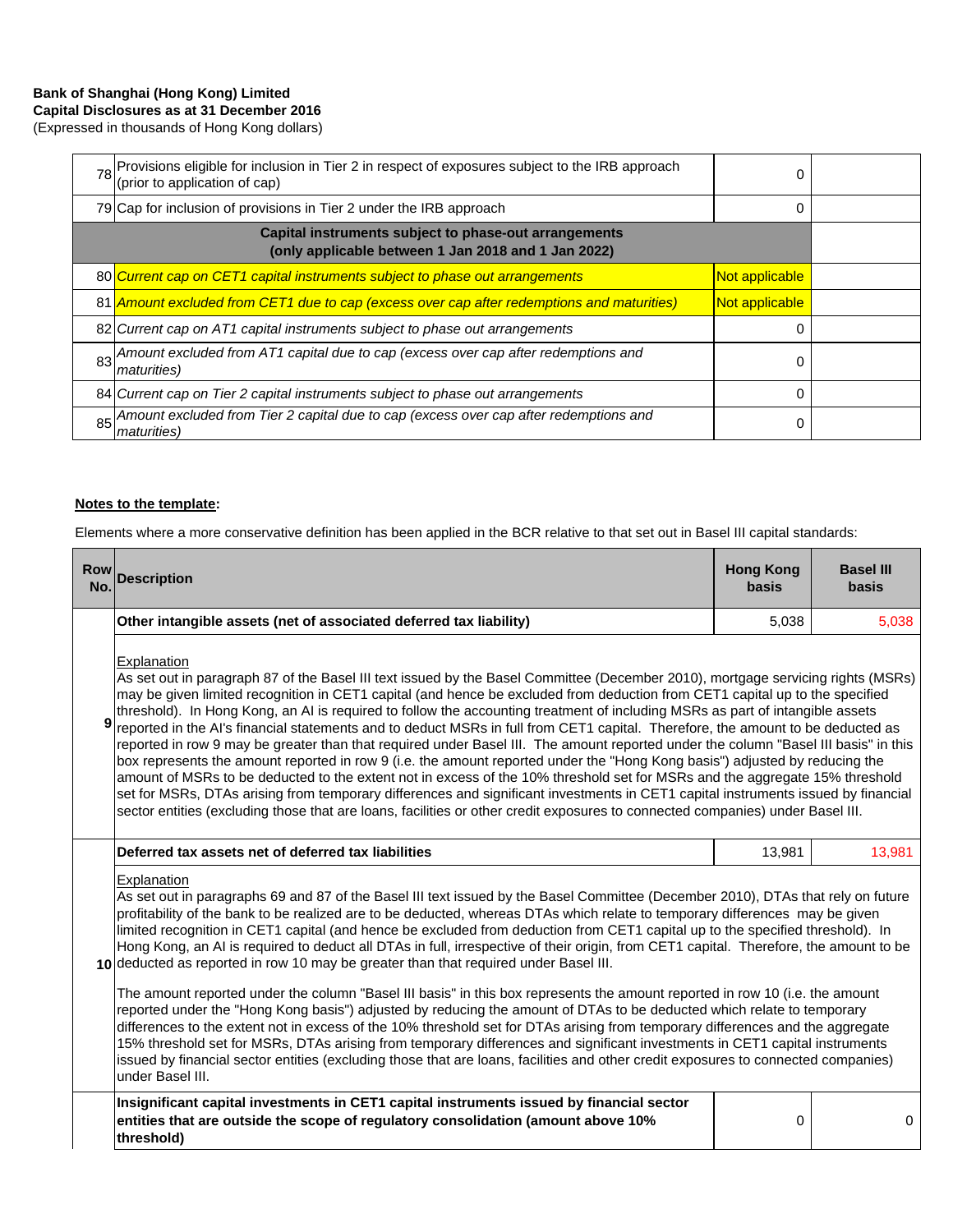### **Bank of Shanghai (Hong Kong) Limited Capital Disclosures as at 31 December 2016**

(Expressed in thousands of Hong Kong dollars)

|                                                                                                              | 78 Provisions eligible for inclusion in Tier 2 in respect of exposures subject to the IRB approach<br>(prior to application of cap) | 0              |  |
|--------------------------------------------------------------------------------------------------------------|-------------------------------------------------------------------------------------------------------------------------------------|----------------|--|
|                                                                                                              | 79 Cap for inclusion of provisions in Tier 2 under the IRB approach                                                                 | 0              |  |
| Capital instruments subject to phase-out arrangements<br>(only applicable between 1 Jan 2018 and 1 Jan 2022) |                                                                                                                                     |                |  |
|                                                                                                              | 80 Current cap on CET1 capital instruments subject to phase out arrangements                                                        | Not applicable |  |
|                                                                                                              | 81   Amount excluded from CET1 due to cap (excess over cap after redemptions and maturities)                                        | Not applicable |  |
|                                                                                                              | 82 Current cap on AT1 capital instruments subject to phase out arrangements                                                         | 0              |  |
|                                                                                                              | 83 Amount excluded from AT1 capital due to cap (excess over cap after redemptions and<br><i>maturities</i> )                        | 0              |  |
|                                                                                                              | 84 Current cap on Tier 2 capital instruments subject to phase out arrangements                                                      | 0              |  |
| 85                                                                                                           | Amount excluded from Tier 2 capital due to cap (excess over cap after redemptions and<br><i>maturities</i> )                        | 0              |  |

#### **Notes to the template:**

Elements where a more conservative definition has been applied in the BCR relative to that set out in Basel III capital standards:

| <b>Row</b><br>No. | <b>Description</b>                                                                                                                                                                                                                                                                                                                                                                                                                                                                                                                                                                                                                                                                                                                                                                                                                                                                                                                                                                                                                                                                                                                                                                                                                     | <b>Hong Kong</b><br><b>basis</b> | <b>Basel III</b><br><b>basis</b> |  |
|-------------------|----------------------------------------------------------------------------------------------------------------------------------------------------------------------------------------------------------------------------------------------------------------------------------------------------------------------------------------------------------------------------------------------------------------------------------------------------------------------------------------------------------------------------------------------------------------------------------------------------------------------------------------------------------------------------------------------------------------------------------------------------------------------------------------------------------------------------------------------------------------------------------------------------------------------------------------------------------------------------------------------------------------------------------------------------------------------------------------------------------------------------------------------------------------------------------------------------------------------------------------|----------------------------------|----------------------------------|--|
|                   | Other intangible assets (net of associated deferred tax liability)                                                                                                                                                                                                                                                                                                                                                                                                                                                                                                                                                                                                                                                                                                                                                                                                                                                                                                                                                                                                                                                                                                                                                                     | 5,038                            | 5,038                            |  |
| 9                 | <b>Explanation</b><br>As set out in paragraph 87 of the Basel III text issued by the Basel Committee (December 2010), mortgage servicing rights (MSRs)<br>may be given limited recognition in CET1 capital (and hence be excluded from deduction from CET1 capital up to the specified<br>threshold). In Hong Kong, an AI is required to follow the accounting treatment of including MSRs as part of intangible assets<br>reported in the AI's financial statements and to deduct MSRs in full from CET1 capital. Therefore, the amount to be deducted as<br>reported in row 9 may be greater than that required under Basel III. The amount reported under the column "Basel III basis" in this<br>box represents the amount reported in row 9 (i.e. the amount reported under the "Hong Kong basis") adjusted by reducing the<br>amount of MSRs to be deducted to the extent not in excess of the 10% threshold set for MSRs and the aggregate 15% threshold<br>set for MSRs, DTAs arising from temporary differences and significant investments in CET1 capital instruments issued by financial<br>sector entities (excluding those that are loans, facilities or other credit exposures to connected companies) under Basel III. |                                  |                                  |  |
|                   | Deferred tax assets net of deferred tax liabilities                                                                                                                                                                                                                                                                                                                                                                                                                                                                                                                                                                                                                                                                                                                                                                                                                                                                                                                                                                                                                                                                                                                                                                                    | 13,981                           | 13,981                           |  |
|                   | Explanation<br>As set out in paragraphs 69 and 87 of the Basel III text issued by the Basel Committee (December 2010), DTAs that rely on future<br>profitability of the bank to be realized are to be deducted, whereas DTAs which relate to temporary differences may be given<br>limited recognition in CET1 capital (and hence be excluded from deduction from CET1 capital up to the specified threshold). In<br>Hong Kong, an AI is required to deduct all DTAs in full, irrespective of their origin, from CET1 capital. Therefore, the amount to be<br>10 deducted as reported in row 10 may be greater than that required under Basel III.                                                                                                                                                                                                                                                                                                                                                                                                                                                                                                                                                                                     |                                  |                                  |  |
|                   | The amount reported under the column "Basel III basis" in this box represents the amount reported in row 10 (i.e. the amount<br>reported under the "Hong Kong basis") adjusted by reducing the amount of DTAs to be deducted which relate to temporary<br>differences to the extent not in excess of the 10% threshold set for DTAs arising from temporary differences and the aggregate<br>15% threshold set for MSRs, DTAs arising from temporary differences and significant investments in CET1 capital instruments<br>issued by financial sector entities (excluding those that are loans, facilities and other credit exposures to connected companies)<br>under Basel III.                                                                                                                                                                                                                                                                                                                                                                                                                                                                                                                                                      |                                  |                                  |  |
|                   | Insignificant capital investments in CET1 capital instruments issued by financial sector<br>entities that are outside the scope of regulatory consolidation (amount above 10%<br>threshold)                                                                                                                                                                                                                                                                                                                                                                                                                                                                                                                                                                                                                                                                                                                                                                                                                                                                                                                                                                                                                                            | 0                                | 0                                |  |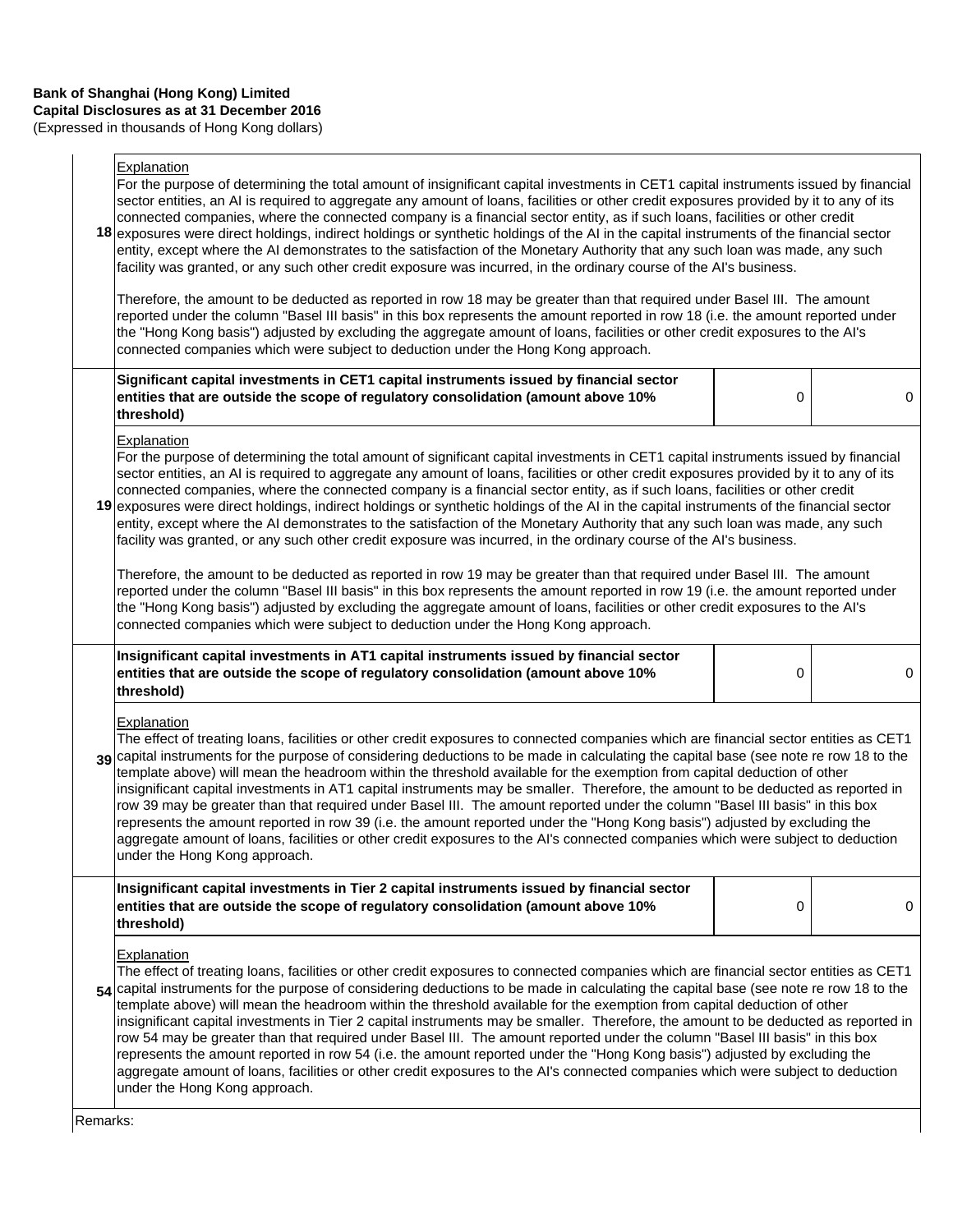(Expressed in thousands of Hong Kong dollars)

## **Explanation**

|          | - Apianauvni<br>For the purpose of determining the total amount of insignificant capital investments in CET1 capital instruments issued by financial<br>sector entities, an AI is required to aggregate any amount of loans, facilities or other credit exposures provided by it to any of its<br>connected companies, where the connected company is a financial sector entity, as if such loans, facilities or other credit<br>18 exposures were direct holdings, indirect holdings or synthetic holdings of the AI in the capital instruments of the financial sector<br>entity, except where the AI demonstrates to the satisfaction of the Monetary Authority that any such loan was made, any such<br>facility was granted, or any such other credit exposure was incurred, in the ordinary course of the Al's business.<br>Therefore, the amount to be deducted as reported in row 18 may be greater than that required under Basel III. The amount                                               |   |   |  |
|----------|----------------------------------------------------------------------------------------------------------------------------------------------------------------------------------------------------------------------------------------------------------------------------------------------------------------------------------------------------------------------------------------------------------------------------------------------------------------------------------------------------------------------------------------------------------------------------------------------------------------------------------------------------------------------------------------------------------------------------------------------------------------------------------------------------------------------------------------------------------------------------------------------------------------------------------------------------------------------------------------------------------|---|---|--|
|          | reported under the column "Basel III basis" in this box represents the amount reported in row 18 (i.e. the amount reported under<br>the "Hong Kong basis") adjusted by excluding the aggregate amount of loans, facilities or other credit exposures to the AI's<br>connected companies which were subject to deduction under the Hong Kong approach.                                                                                                                                                                                                                                                                                                                                                                                                                                                                                                                                                                                                                                                    |   |   |  |
|          | Significant capital investments in CET1 capital instruments issued by financial sector<br>entities that are outside the scope of regulatory consolidation (amount above 10%<br>threshold)                                                                                                                                                                                                                                                                                                                                                                                                                                                                                                                                                                                                                                                                                                                                                                                                                | 0 | 0 |  |
|          | Explanation<br>For the purpose of determining the total amount of significant capital investments in CET1 capital instruments issued by financial<br>sector entities, an AI is required to aggregate any amount of loans, facilities or other credit exposures provided by it to any of its<br>connected companies, where the connected company is a financial sector entity, as if such loans, facilities or other credit<br>19 exposures were direct holdings, indirect holdings or synthetic holdings of the AI in the capital instruments of the financial sector<br>entity, except where the AI demonstrates to the satisfaction of the Monetary Authority that any such loan was made, any such<br>facility was granted, or any such other credit exposure was incurred, in the ordinary course of the Al's business.                                                                                                                                                                              |   |   |  |
|          | Therefore, the amount to be deducted as reported in row 19 may be greater than that required under Basel III. The amount<br>reported under the column "Basel III basis" in this box represents the amount reported in row 19 (i.e. the amount reported under<br>the "Hong Kong basis") adjusted by excluding the aggregate amount of loans, facilities or other credit exposures to the AI's<br>connected companies which were subject to deduction under the Hong Kong approach.                                                                                                                                                                                                                                                                                                                                                                                                                                                                                                                        |   |   |  |
|          | Insignificant capital investments in AT1 capital instruments issued by financial sector<br>entities that are outside the scope of regulatory consolidation (amount above 10%<br>threshold)                                                                                                                                                                                                                                                                                                                                                                                                                                                                                                                                                                                                                                                                                                                                                                                                               | 0 | 0 |  |
|          | Explanation<br>The effect of treating loans, facilities or other credit exposures to connected companies which are financial sector entities as CET1<br>39 capital instruments for the purpose of considering deductions to be made in calculating the capital base (see note re row 18 to the<br>template above) will mean the headroom within the threshold available for the exemption from capital deduction of other<br>insignificant capital investments in AT1 capital instruments may be smaller. Therefore, the amount to be deducted as reported in<br>row 39 may be greater than that required under Basel III. The amount reported under the column "Basel III basis" in this box<br>represents the amount reported in row 39 (i.e. the amount reported under the "Hong Kong basis") adjusted by excluding the<br>aggregate amount of loans, facilities or other credit exposures to the AI's connected companies which were subject to deduction<br>under the Hong Kong approach.           |   |   |  |
|          | Insignificant capital investments in Tier 2 capital instruments issued by financial sector<br>entities that are outside the scope of regulatory consolidation (amount above 10%<br>threshold)                                                                                                                                                                                                                                                                                                                                                                                                                                                                                                                                                                                                                                                                                                                                                                                                            | 0 | 0 |  |
|          | <b>Explanation</b><br>The effect of treating loans, facilities or other credit exposures to connected companies which are financial sector entities as CET1<br>54 capital instruments for the purpose of considering deductions to be made in calculating the capital base (see note re row 18 to the<br>template above) will mean the headroom within the threshold available for the exemption from capital deduction of other<br>insignificant capital investments in Tier 2 capital instruments may be smaller. Therefore, the amount to be deducted as reported in<br>row 54 may be greater than that required under Basel III. The amount reported under the column "Basel III basis" in this box<br>represents the amount reported in row 54 (i.e. the amount reported under the "Hong Kong basis") adjusted by excluding the<br>aggregate amount of loans, facilities or other credit exposures to the AI's connected companies which were subject to deduction<br>under the Hong Kong approach. |   |   |  |
| Remarks: |                                                                                                                                                                                                                                                                                                                                                                                                                                                                                                                                                                                                                                                                                                                                                                                                                                                                                                                                                                                                          |   |   |  |

Remarks: